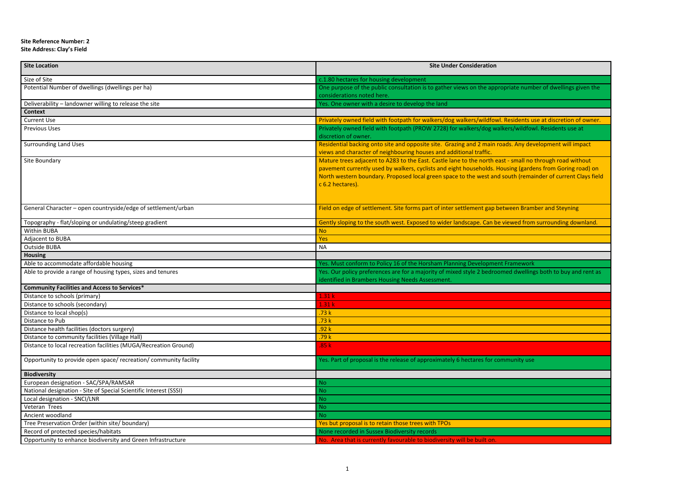## **Site Reference Number: 2**

## **Site Address: Clay's Field**

| <b>Site Location</b>                                              | <b>Site Under Consideration</b>                                                                                                                                                                                                                                                                                                                        |
|-------------------------------------------------------------------|--------------------------------------------------------------------------------------------------------------------------------------------------------------------------------------------------------------------------------------------------------------------------------------------------------------------------------------------------------|
| Size of Site                                                      | c.1.80 hectares for housing development                                                                                                                                                                                                                                                                                                                |
| Potential Number of dwellings (dwellings per ha)                  | One purpose of the public consultation is to gather views on the appropriate number of dwellings given the<br>considerations noted here.                                                                                                                                                                                                               |
| Deliverability - landowner willing to release the site            | Yes. One owner with a desire to develop the land                                                                                                                                                                                                                                                                                                       |
| <b>Context</b>                                                    |                                                                                                                                                                                                                                                                                                                                                        |
| <b>Current Use</b>                                                | Privately owned field with footpath for walkers/dog walkers/wildfowl. Residents use at discretion of owner.                                                                                                                                                                                                                                            |
| <b>Previous Uses</b>                                              | Privately owned field with footpath (PROW 2728) for walkers/dog walkers/wildfowl. Residents use at<br>discretion of owner.                                                                                                                                                                                                                             |
| <b>Surrounding Land Uses</b>                                      | Residential backing onto site and opposite site. Grazing and 2 main roads. Any development will impact<br>views and character of neighbouring houses and additional traffic.                                                                                                                                                                           |
| Site Boundary                                                     | Mature trees adjacent to A283 to the East. Castle lane to the north east - small no through road without<br>pavement currently used by walkers, cyclists and eight households. Housing (gardens from Goring road) on<br>North western boundary. Proposed local green space to the west and south (remainder of current Clays field<br>c 6.2 hectares). |
| General Character - open countryside/edge of settlement/urban     | Field on edge of settlement. Site forms part of inter settlement gap between Bramber and Steyning                                                                                                                                                                                                                                                      |
| Topography - flat/sloping or undulating/steep gradient            | Gently sloping to the south west. Exposed to wider landscape. Can be viewed from surrounding downland.                                                                                                                                                                                                                                                 |
| Within BUBA                                                       | <b>No</b>                                                                                                                                                                                                                                                                                                                                              |
| Adjacent to BUBA                                                  | Yes                                                                                                                                                                                                                                                                                                                                                    |
| Outside BUBA                                                      | <b>NA</b>                                                                                                                                                                                                                                                                                                                                              |
| <b>Housing</b>                                                    |                                                                                                                                                                                                                                                                                                                                                        |
| Able to accommodate affordable housing                            | Yes. Must conform to Policy 16 of the Horsham Planning Development Framework                                                                                                                                                                                                                                                                           |
| Able to provide a range of housing types, sizes and tenures       | Yes. Our policy preferences are for a majority of mixed style 2 bedroomed dwellings both to buy and rent as<br>identified in Brambers Housing Needs Assessment.                                                                                                                                                                                        |
| <b>Community Facilities and Access to Services*</b>               |                                                                                                                                                                                                                                                                                                                                                        |
| Distance to schools (primary)                                     | 1.31k                                                                                                                                                                                                                                                                                                                                                  |
| Distance to schools (secondary)                                   | 1.31k                                                                                                                                                                                                                                                                                                                                                  |
| Distance to local shop(s)                                         | .73k                                                                                                                                                                                                                                                                                                                                                   |
| Distance to Pub                                                   | .73k                                                                                                                                                                                                                                                                                                                                                   |
| Distance health facilities (doctors surgery)                      | .92k                                                                                                                                                                                                                                                                                                                                                   |
| Distance to community facilities (Village Hall)                   | .79 k                                                                                                                                                                                                                                                                                                                                                  |
| Distance to local recreation facilities (MUGA/Recreation Ground)  | .85 k                                                                                                                                                                                                                                                                                                                                                  |
| Opportunity to provide open space/ recreation/ community facility | Yes. Part of proposal is the release of approximately 6 hectares for community use                                                                                                                                                                                                                                                                     |
| <b>Biodiversity</b>                                               |                                                                                                                                                                                                                                                                                                                                                        |
| European designation - SAC/SPA/RAMSAR                             | <b>No</b>                                                                                                                                                                                                                                                                                                                                              |
| National designation - Site of Special Scientific Interest (SSSI) | <b>No</b>                                                                                                                                                                                                                                                                                                                                              |
| Local designation - SNCI/LNR                                      | <b>No</b>                                                                                                                                                                                                                                                                                                                                              |
| Veteran Trees                                                     | <b>No</b>                                                                                                                                                                                                                                                                                                                                              |
| Ancient woodland                                                  | N <sub>o</sub>                                                                                                                                                                                                                                                                                                                                         |
| Tree Preservation Order (within site/ boundary)                   | Yes but proposal is to retain those trees with TPOs                                                                                                                                                                                                                                                                                                    |
| Record of protected species/habitats                              | None recorded in Sussex Biodiversity records                                                                                                                                                                                                                                                                                                           |
| Opportunity to enhance biodiversity and Green Infrastructure      | No. Area that is currently favourable to biodiversity will be built on.                                                                                                                                                                                                                                                                                |

|  | mber of dwellings given the |
|--|-----------------------------|
|  |                             |

| se |  |  |
|----|--|--|
|    |  |  |
|    |  |  |
|    |  |  |
|    |  |  |
|    |  |  |
|    |  |  |
|    |  |  |
|    |  |  |
|    |  |  |
|    |  |  |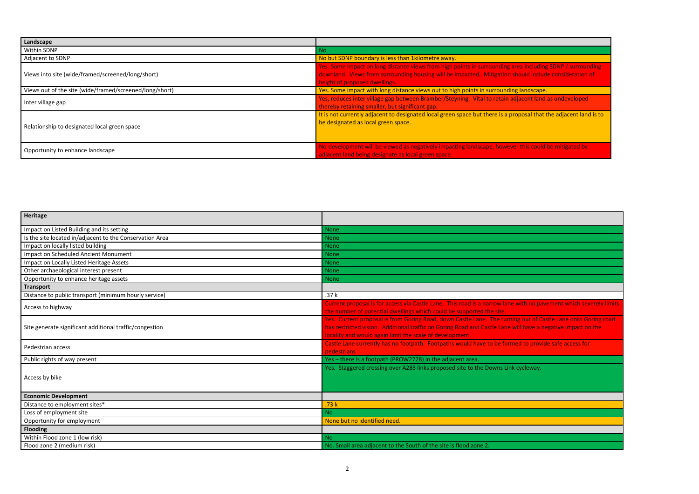| Landscape                                               |                                                                                                                                                                                                                                              |
|---------------------------------------------------------|----------------------------------------------------------------------------------------------------------------------------------------------------------------------------------------------------------------------------------------------|
| Within SDNP                                             | No.                                                                                                                                                                                                                                          |
| Adjacent to SDNP                                        | No but SDNP boundary is less than 1kilometre away.                                                                                                                                                                                           |
| Views into site (wide/framed/screened/long/short)       | Yes. Some impact on long distance views from high points in surrounding area including SDNP / surroun<br>downland. Views from surrounding housing will be impacted. Mitigation should include consideration<br>height of proposed dwellings. |
| Views out of the site (wide/framed/screened/long/short) | Yes. Some impact with long distance views out to high points in surrounding landscape.                                                                                                                                                       |
| Inter village gap                                       | Yes, reduces inter village gap between Bramber/Steyning. Vital to retain adjacent land as undeveloped<br>thereby retaining smaller, but significant gap.                                                                                     |
| Relationship to designated local green space            | It is not currently adjacent to designated local green space but there is a proposal that the adjacent land<br>be designated as local green space.                                                                                           |
| Opportunity to enhance landscape                        | No-development will be viewed as negatively impacting landscape, however this could be mitigated by<br>adjacent land being designate as local green space.                                                                                   |

| Heritage                                                 |                                                                                                                                                                                                                                                                            |
|----------------------------------------------------------|----------------------------------------------------------------------------------------------------------------------------------------------------------------------------------------------------------------------------------------------------------------------------|
| Impact on Listed Building and its setting                | <b>None</b>                                                                                                                                                                                                                                                                |
| Is the site located in/adjacent to the Conservation Area | <b>None</b>                                                                                                                                                                                                                                                                |
| Impact on locally listed building                        | <b>None</b>                                                                                                                                                                                                                                                                |
| <b>Impact on Scheduled Ancient Monument</b>              | <b>None</b>                                                                                                                                                                                                                                                                |
| Impact on Locally Listed Heritage Assets                 | <b>None</b>                                                                                                                                                                                                                                                                |
| Other archaeological interest present                    | <b>None</b>                                                                                                                                                                                                                                                                |
| Opportunity to enhance heritage assets                   | <b>None</b>                                                                                                                                                                                                                                                                |
| <b>Transport</b>                                         |                                                                                                                                                                                                                                                                            |
| Distance to public transport (minimum hourly service)    | .37k                                                                                                                                                                                                                                                                       |
| Access to highway                                        | Current proposal is for access via Castle Lane. This road is a narrow lane with no pavement which sev<br>the number of potential dwellings which could be supported the site.                                                                                              |
| Site generate significant additional traffic/congestion  | Yes. Current proposal is from Goring Road, down Castle Lane. The turning out of Castle Lane onto Go<br>has restricted vision. Additional traffic on Goring Road and Castle Lane will have a negative impact on<br>locality and would again limit the scale of development. |
| Pedestrian access                                        | Castle Lane currently has no footpath. Footpaths would have to be formed to provide safe access for<br>pedestrians                                                                                                                                                         |
| Public rights of way present                             | Yes - there is a footpath (PROW2728) in the adjacent area.                                                                                                                                                                                                                 |
| Access by bike                                           | Yes. Staggered crossing over A283 links proposed site to the Downs Link cycleway.                                                                                                                                                                                          |
| <b>Economic Development</b>                              |                                                                                                                                                                                                                                                                            |
| Distance to employment sites*                            | .73k                                                                                                                                                                                                                                                                       |
| Loss of employment site                                  | <b>No</b>                                                                                                                                                                                                                                                                  |
| Opportunity for employment                               | None but no identified need.                                                                                                                                                                                                                                               |
| <b>Flooding</b>                                          |                                                                                                                                                                                                                                                                            |
| Within Flood zone 1 (low risk)                           | <b>No</b>                                                                                                                                                                                                                                                                  |
| Flood zone 2 (medium risk)                               | No. Small area adjacent to the South of the site is flood zone 2.                                                                                                                                                                                                          |

**Netalling SDNP / surrounding** l include consideration of

 $\overline{\phantom{a}}$ al that the adjacent land is to

no pavement which severely limits

**The Current proposal is from Goring road**, down Castle Lane onto Goring road,  $\overline{\phantom{a}}$ ave a negative impact on the